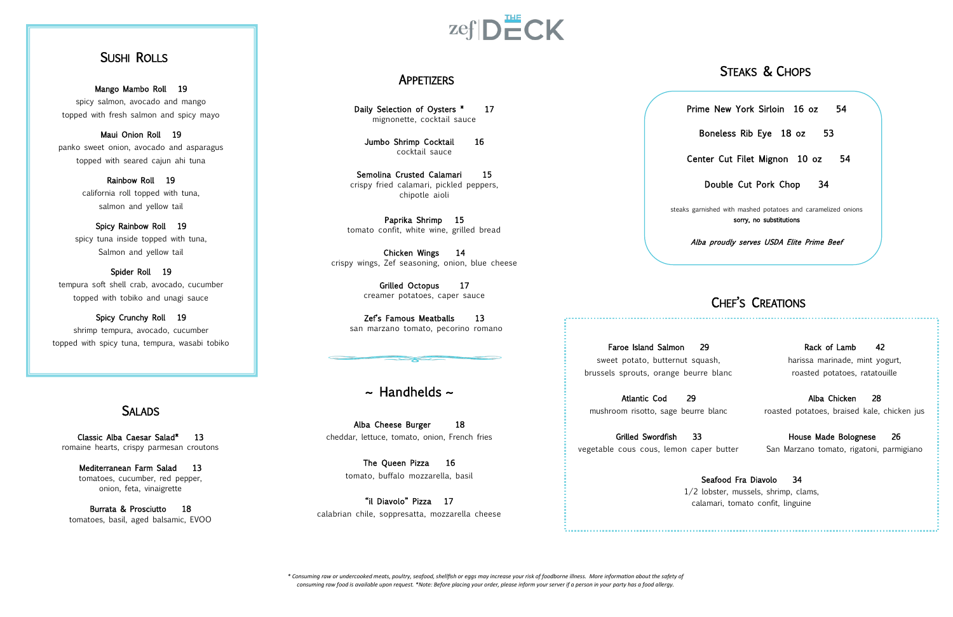# SUSHI ROLLS

Mango Mambo Roll 19 spicy salmon, avocado and mango topped with fresh salmon and spicy mayo

Maui Onion Roll 19 panko sweet onion, avocado and asparagus topped with seared cajun ahi tuna

Spider Roll 19 tempura soft shell crab, avocado, cucumber topped with tobiko and unagi sauce

Rainbow Roll 19 california roll topped with tuna, salmon and yellow tail

Spicy Rainbow Roll 19 spicy tuna inside topped with tuna, Salmon and yellow tail

Mediterranean Farm Salad 13 tomatoes, cucumber, red pepper, onion, feta, vinaigrette

Alba Cheese Burger 18 cheddar, lettuce, tomato, onion, French fries

Spicy Crunchy Roll 19 shrimp tempura, avocado, cucumber topped with spicy tuna, tempura, wasabi tobiko

# **SALADS**

Daily Selection of Oysters \* 17 mignonette, cocktail sauce

Jumbo Shrimp Cocktail 16 cocktail sauce

Classic Alba Caesar Salad\* 13 romaine hearts, crispy parmesan croutons

Semolina Crusted Calamari 15 crispy fried calamari, pickled peppers, chipotle aioli

Zef's Famous Meatballs 13 san marzano tomato, pecorino romano

# $\sim$  Handhelds  $\sim$

Burrata & Prosciutto 18 tomatoes, basil, aged balsamic, EVOO

# $zefDECK$

The Queen Pizza 16 tomato, buffalo mozzarella, basil

Atlantic Cod 29 mushroom risotto, sage beurr

Grilled Swordfish 33 vegetable cous cous, lemon ca

 $1/2$ 

"il Diavolo" Pizza 17 calabrian chile, soppresatta, mozzarella cheese

## APPETIZERS

Paprika Shrimp 15 tomato confit, white wine, grilled bread

Chicken Wings 14 crispy wings, Zef seasoning, onion, blue cheese

> Grilled Octopus 17 creamer potatoes, caper sauce

Prime New York Sirloin 16 oz 54 Center Cut Filet Mignon 10 oz 54 steaks garnished with mashed potatoes and caramelized onions

Faroe Island Salmon sweet potato, butternut sq brussels sprouts, orange beur

Boneless Rib Eye 18 oz 53 Double Cut Pork Chop 34 sorry, no substitutions Alba proudly serves USDA Elite Prime Beef

# STEAKS & CHOPS

# CHEF'S CREATIONS

| 29                                  | Rack of Lamb<br>-42                         |
|-------------------------------------|---------------------------------------------|
| squash,                             | harissa marinade, mint yogurt,              |
| eurre blanc                         | roasted potatoes, ratatouille               |
| рq                                  | Alba Chicken<br>-28                         |
| urre blanc                          | roasted potatoes, braised kale, chicken jus |
| 33                                  | House Made Bolognese<br>26                  |
| caper butter                        | San Marzano tomato, rigatoni, parmigiano    |
| Seafood Fra Diavolo 34              |                                             |
| /2 lobster, mussels, shrimp, clams, |                                             |
| calamari, tomato confit, linguine   |                                             |
|                                     |                                             |

*\* Consuming raw or undercooked meats, poultry, seafood, shellfish or eggs may increase your risk of foodborne illness. More information about the safety of consuming raw food is available upon request. \*Note: Before placing your order, please inform your server if a person in your party has a food allergy.*